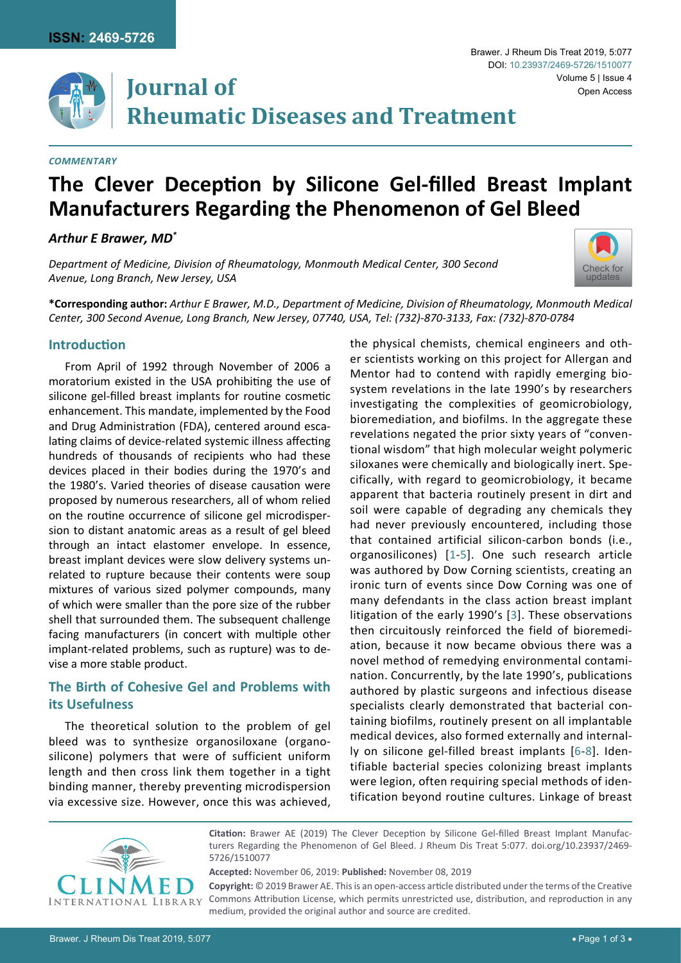

### *Commentary*

# **The Clever Deception by Silicone Gel-filled Breast Implant Manufacturers Regarding the Phenomenon of Gel Bleed**

*Arthur E Brawer, MD\**

*Department of Medicine, Division of Rheumatology, Monmouth Medical Center, 300 Second Avenue, Long Branch, New Jersey, USA*

**\*Corresponding author:** *Arthur E Brawer, M.D., Department of Medicine, Division of Rheumatology, Monmouth Medical Center, 300 Second Avenue, Long Branch, New Jersey, 07740, USA, Tel: (732)-870-3133, Fax: (732)-870-0784*

## **Introduction**

From April of 1992 through November of 2006 a moratorium existed in the USA prohibiting the use of silicone gel-filled breast implants for routine cosmetic enhancement. This mandate, implemented by the Food and Drug Administration (FDA), centered around escalating claims of device-related systemic illness affecting hundreds of thousands of recipients who had these devices placed in their bodies during the 1970's and the 1980's. Varied theories of disease causation were proposed by numerous researchers, all of whom relied on the routine occurrence of silicone gel microdispersion to distant anatomic areas as a result of gel bleed through an intact elastomer envelope. In essence, breast implant devices were slow delivery systems unrelated to rupture because their contents were soup mixtures of various sized polymer compounds, many of which were smaller than the pore size of the rubber shell that surrounded them. The subsequent challenge facing manufacturers (in concert with multiple other implant-related problems, such as rupture) was to devise a more stable product.

## **The Birth of Cohesive Gel and Problems with its Usefulness**

The theoretical solution to the problem of gel bleed was to synthesize organosiloxane (organosilicone) polymers that were of sufficient uniform length and then cross link them together in a tight binding manner, thereby preventing microdispersion via excessive size. However, once this was achieved,

the physical chemists, chemical engineers and other scientists working on this project for Allergan and Mentor had to contend with rapidly emerging biosystem revelations in the late 1990's by researchers investigating the complexities of geomicrobiology, bioremediation, and biofilms. In the aggregate these revelations negated the prior sixty years of "conventional wisdom" that high molecular weight polymeric siloxanes were chemically and biologically inert. Specifically, with regard to geomicrobiology, it became apparent that bacteria routinely present in dirt and soil were capable of degrading any chemicals they had never previously encountered, including those that contained artificial silicon-carbon bonds (i.e., organosilicones) [[1](#page-1-0)[-5](#page-1-1)]. One such research article was authored by Dow Corning scientists, creating an ironic turn of events since Dow Corning was one of many defendants in the class action breast implant litigation of the early 1990's [[3](#page-1-2)]. These observations then circuitously reinforced the field of bioremediation, because it now became obvious there was a novel method of remedying environmental contamination. Concurrently, by the late 1990's, publications authored by plastic surgeons and infectious disease specialists clearly demonstrated that bacterial containing biofilms, routinely present on all implantable medical devices, also formed externally and internally on silicone gel-filled breast implants [[6](#page-1-3)-[8\]](#page-1-4). Identifiable bacterial species colonizing breast implants were legion, often requiring special methods of identification beyond routine cultures. Linkage of breast



**Citation:** Brawer AE (2019) The Clever Deception by Silicone Gel-filled Breast Implant Manufacturers Regarding the Phenomenon of Gel Bleed. J Rheum Dis Treat 5:077. [doi.org/10.23937/2469-](https://doi.org/10.23937/2469-5726/1510077) [5726/1510077](https://doi.org/10.23937/2469-5726/1510077)

**Accepted:** November 06, 2019: **Published:** November 08, 2019 **Copyright:** © 2019 Brawer AE. This is an open-access article distributed under the terms of the Creative Commons Attribution License, which permits unrestricted use, distribution, and reproduction in any medium, provided the original author and source are credited.



Volume 5 | Issue 4

Open Access

Brawer. J Rheum Dis Treat 2019, 5:077

DOI: [10.23937/2469-5726/1510077](https://doi.org/10.23937/2469-5726/1510077)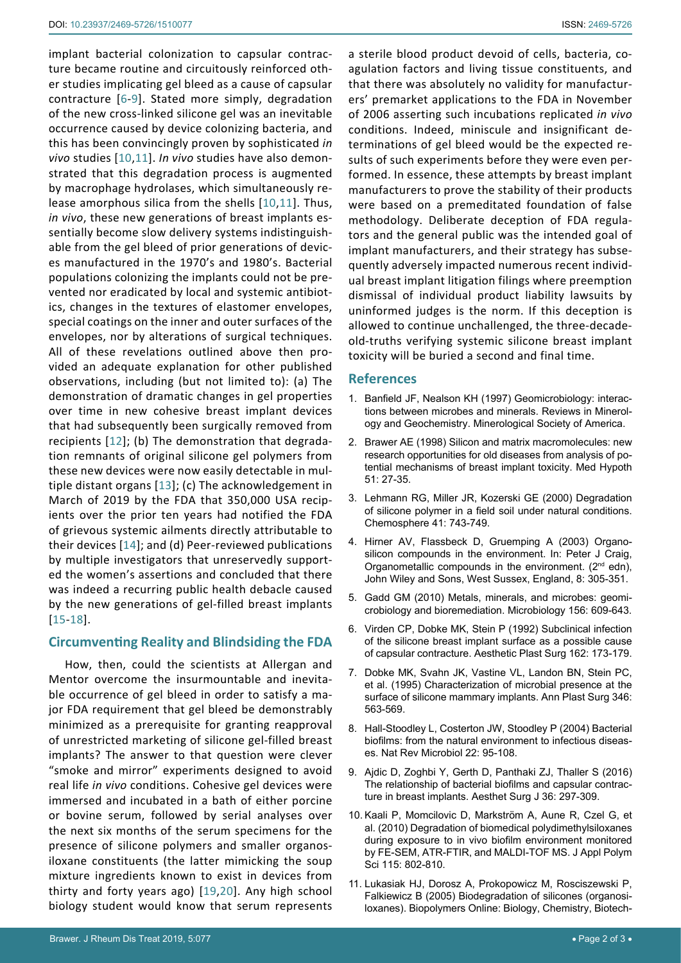implant bacterial colonization to capsular contracture became routine and circuitously reinforced other studies implicating gel bleed as a cause of capsular contracture [[6](#page-1-3)-[9](#page-1-5)]. Stated more simply, degradation of the new cross-linked silicone gel was an inevitable occurrence caused by device colonizing bacteria, and this has been convincingly proven by sophisticated *in vivo* studies [[10](#page-1-6),[11](#page-1-7)]. *In vivo* studies have also demonstrated that this degradation process is augmented by macrophage hydrolases, which simultaneously release amorphous silica from the shells [[10](#page-1-6),[11](#page-1-7)]. Thus, *in vivo*, these new generations of breast implants essentially become slow delivery systems indistinguishable from the gel bleed of prior generations of devices manufactured in the 1970's and 1980's. Bacterial populations colonizing the implants could not be prevented nor eradicated by local and systemic antibiotics, changes in the textures of elastomer envelopes, special coatings on the inner and outer surfaces of the envelopes, nor by alterations of surgical techniques. All of these revelations outlined above then provided an adequate explanation for other published observations, including (but not limited to): (a) The demonstration of dramatic changes in gel properties over time in new cohesive breast implant devices that had subsequently been surgically removed from recipients [[12](#page-2-0)]; (b) The demonstration that degradation remnants of original silicone gel polymers from these new devices were now easily detectable in multiple distant organs [[13](#page-2-1)]; (c) The acknowledgement in March of 2019 by the FDA that 350,000 USA recipients over the prior ten years had notified the FDA of grievous systemic ailments directly attributable to their devices [[14](#page-2-2)]; and (d) Peer-reviewed publications by multiple investigators that unreservedly supported the women's assertions and concluded that there was indeed a recurring public health debacle caused by the new generations of gel-filled breast implants [[15-](#page-2-3)[18\]](#page-2-4).

## **Circumventing Reality and Blindsiding the FDA**

How, then, could the scientists at Allergan and Mentor overcome the insurmountable and inevitable occurrence of gel bleed in order to satisfy a major FDA requirement that gel bleed be demonstrably minimized as a prerequisite for granting reapproval of unrestricted marketing of silicone gel-filled breast implants? The answer to that question were clever "smoke and mirror" experiments designed to avoid real life *in vivo* conditions. Cohesive gel devices were immersed and incubated in a bath of either porcine or bovine serum, followed by serial analyses over the next six months of the serum specimens for the presence of silicone polymers and smaller organosiloxane constituents (the latter mimicking the soup mixture ingredients known to exist in devices from thirty and forty years ago) [[19](#page-2-5),[20](#page-2-6)]. Any high school biology student would know that serum represents

a sterile blood product devoid of cells, bacteria, coagulation factors and living tissue constituents, and that there was absolutely no validity for manufacturers' premarket applications to the FDA in November of 2006 asserting such incubations replicated *in vivo* conditions. Indeed, miniscule and insignificant determinations of gel bleed would be the expected results of such experiments before they were even performed. In essence, these attempts by breast implant manufacturers to prove the stability of their products were based on a premeditated foundation of false methodology. Deliberate deception of FDA regulators and the general public was the intended goal of implant manufacturers, and their strategy has subsequently adversely impacted numerous recent individual breast implant litigation filings where preemption dismissal of individual product liability lawsuits by uninformed judges is the norm. If this deception is allowed to continue unchallenged, the three-decadeold-truths verifying systemic silicone breast implant toxicity will be buried a second and final time.

### **References**

- <span id="page-1-0"></span>1. Banfield JF, Nealson KH (1997) Geomicrobiology: interactions between microbes and minerals. Reviews in Minerology and Geochemistry. Minerological Society of America.
- 2. [Brawer AE \(1998\) Silicon and matrix macromolecules: new](https://www.ncbi.nlm.nih.gov/pubmed/9881833)  [research opportunities for old diseases from analysis of po](https://www.ncbi.nlm.nih.gov/pubmed/9881833)[tential mechanisms of breast implant toxicity. Med Hypoth](https://www.ncbi.nlm.nih.gov/pubmed/9881833)  [51: 27-35.](https://www.ncbi.nlm.nih.gov/pubmed/9881833)
- <span id="page-1-2"></span>3. [Lehmann RG, Miller JR, Kozerski GE \(2000\) Degradation](https://www.ncbi.nlm.nih.gov/pubmed/10834377)  [of silicone polymer in a field soil under natural conditions.](https://www.ncbi.nlm.nih.gov/pubmed/10834377)  [Chemosphere 41: 743-749.](https://www.ncbi.nlm.nih.gov/pubmed/10834377)
- 4. [Hirner AV, Flassbeck D, Gruemping A \(2003\) Organo](https://www.wiley.com/en-us/Organometallic+Compounds+in+the+Environment%2C+2nd+Edition-p-9780471899938)[silicon compounds in the environment. In: Peter J Craig,](https://www.wiley.com/en-us/Organometallic+Compounds+in+the+Environment%2C+2nd+Edition-p-9780471899938)  Organometallic compounds in the environment. (2<sup>nd</sup> edn), [John Wiley and Sons, West Sussex, England, 8: 305-351](https://www.wiley.com/en-us/Organometallic+Compounds+in+the+Environment%2C+2nd+Edition-p-9780471899938).
- <span id="page-1-1"></span>5. [Gadd GM \(2010\) Metals, minerals, and microbes: geomi](https://www.ncbi.nlm.nih.gov/pubmed/20019082)[crobiology and bioremediation. Microbiology 156: 609-643.](https://www.ncbi.nlm.nih.gov/pubmed/20019082)
- <span id="page-1-3"></span>6. [Virden CP, Dobke MK, Stein P \(1992\) Subclinical infection](https://www.ncbi.nlm.nih.gov/pubmed/1570781)  [of the silicone breast implant surface as a possible cause](https://www.ncbi.nlm.nih.gov/pubmed/1570781)  [of capsular contracture. Aesthetic Plast Surg 162: 173-179.](https://www.ncbi.nlm.nih.gov/pubmed/1570781)
- 7. [Dobke MK, Svahn JK, Vastine VL, Landon BN, Stein PC,](https://www.ncbi.nlm.nih.gov/pubmed/7661531)  [et al. \(1995\) Characterization of microbial presence at the](https://www.ncbi.nlm.nih.gov/pubmed/7661531)  [surface of silicone mammary implants. Ann Plast Surg 346:](https://www.ncbi.nlm.nih.gov/pubmed/7661531)  [563-569.](https://www.ncbi.nlm.nih.gov/pubmed/7661531)
- <span id="page-1-4"></span>8. [Hall-Stoodley L, Costerton JW, Stoodley P \(2004\) Bacterial](https://www.ncbi.nlm.nih.gov/pubmed/15040259)  [biofilms: from the natural environment to infectious diseas](https://www.ncbi.nlm.nih.gov/pubmed/15040259)[es. Nat Rev Microbiol 22: 95-108.](https://www.ncbi.nlm.nih.gov/pubmed/15040259)
- <span id="page-1-5"></span>9. [Ajdic D, Zoghbi Y, Gerth D, Panthaki ZJ, Thaller S \(2016\)](https://www.ncbi.nlm.nih.gov/pubmed/26843099)  [The relationship of bacterial biofilms and capsular contrac](https://www.ncbi.nlm.nih.gov/pubmed/26843099)[ture in breast implants. Aesthet Surg J 36: 297-309.](https://www.ncbi.nlm.nih.gov/pubmed/26843099)
- <span id="page-1-6"></span>10. [Kaali P, Momcilovic D, Markström A, Aune R, Czel G, et](https://onlinelibrary.wiley.com/doi/abs/10.1002/app.31119)  [al. \(2010\) Degradation of biomedical polydimethylsiloxanes](https://onlinelibrary.wiley.com/doi/abs/10.1002/app.31119)  [during exposure to in vivo biofilm environment monitored](https://onlinelibrary.wiley.com/doi/abs/10.1002/app.31119)  [by FE-SEM, ATR-FTIR, and MALDI-TOF MS. J Appl Polym](https://onlinelibrary.wiley.com/doi/abs/10.1002/app.31119)  [Sci 115: 802-810.](https://onlinelibrary.wiley.com/doi/abs/10.1002/app.31119)
- <span id="page-1-7"></span>11. [Lukasiak HJ, Dorosz A, Prokopowicz M, Rosciszewski P,](https://onlinelibrary.wiley.com/doi/10.1002/3527600035.bpol9024)  [Falkiewicz B \(2005\) Biodegradation of silicones \(organosi](https://onlinelibrary.wiley.com/doi/10.1002/3527600035.bpol9024)[loxanes\). Biopolymers Online: Biology, Chemistry, Biotech](https://onlinelibrary.wiley.com/doi/10.1002/3527600035.bpol9024)-